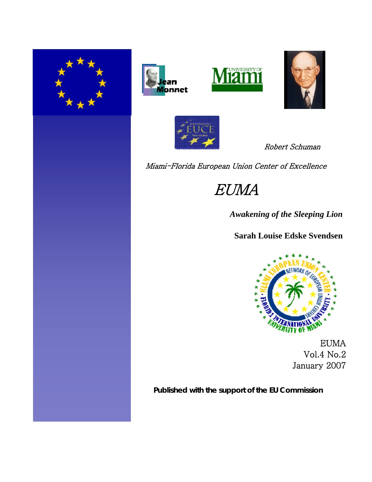









Robert Schuman

Miami-Florida European Union Center of Excellence

EUMA

*Awakening of the Sleeping Lion*

# **Sarah Louise Edske Svendsen**



EUMA Vol.4 No.2 January 2007

**Published with the support of the EU Commission**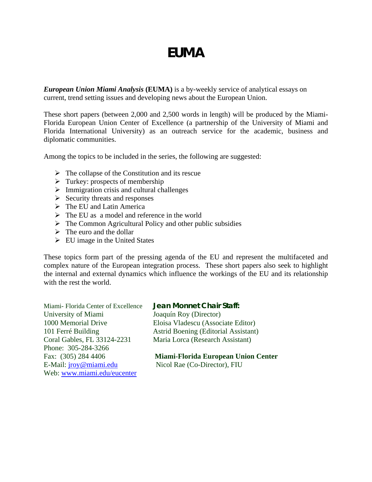# *EUMA*

*European Union Miami Analysis* **(EUMA)** is a by-weekly service of analytical essays on current, trend setting issues and developing news about the European Union.

These short papers (between 2,000 and 2,500 words in length) will be produced by the Miami-Florida European Union Center of Excellence (a partnership of the University of Miami and Florida International University) as an outreach service for the academic, business and diplomatic communities.

Among the topics to be included in the series, the following are suggested:

- $\triangleright$  The collapse of the Constitution and its rescue
- $\triangleright$  Turkey: prospects of membership
- $\triangleright$  Immigration crisis and cultural challenges
- $\triangleright$  Security threats and responses
- $\triangleright$  The EU and Latin America
- $\triangleright$  The EU as a model and reference in the world
- $\triangleright$  The Common Agricultural Policy and other public subsidies
- $\triangleright$  The euro and the dollar
- $\triangleright$  EU image in the United States

These topics form part of the pressing agenda of the EU and represent the multifaceted and complex nature of the European integration process. These short papers also seek to highlight the internal and external dynamics which influence the workings of the EU and its relationship with the rest the world.

| Miami- Florida Center of Excellence | <b>Jean Monnet Chair Staff:</b>            |
|-------------------------------------|--------------------------------------------|
| University of Miami                 | Joaquín Roy (Director)                     |
| 1000 Memorial Drive                 | Eloisa Vladescu (Associate Editor)         |
| 101 Ferré Building                  | Astrid Boening (Editorial Assistant)       |
| Coral Gables, FL 33124-2231         | Maria Lorca (Research Assistant)           |
| Phone: 305-284-3266                 |                                            |
| Fax: (305) 284 4406                 | <b>Miami-Florida European Union Center</b> |
| E-Mail: <i>jroy@miami.edu</i>       | Nicol Rae (Co-Director), FIU               |
| Web: www.miami.edu/eucenter         |                                            |
|                                     |                                            |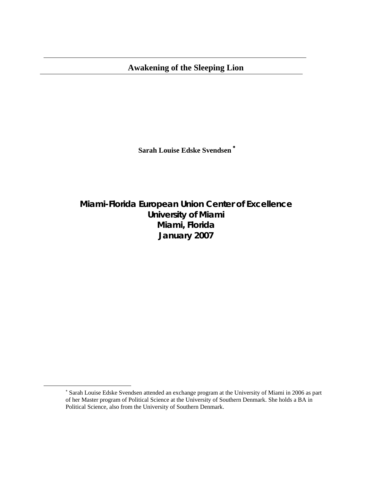**Sarah Louise Edske Svendsen** <sup>∗</sup>

**Miami-Florida European Union Center of Excellence University of Miami Miami, Florida January 2007**

<sup>∗</sup> Sarah Louise Edske Svendsen attended an exchange program at the University of Miami in 2006 as part of her Master program of Political Science at the University of Southern Denmark. She holds a BA in Political Science, also from the University of Southern Denmark.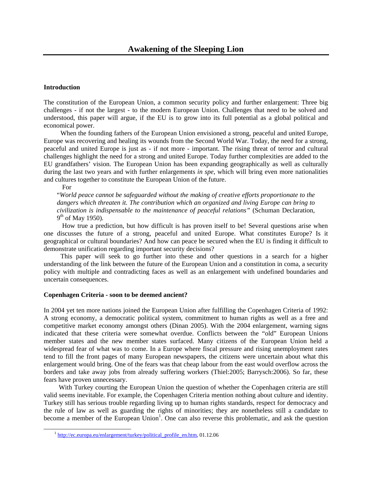#### **Introduction**

The constitution of the European Union, a common security policy and further enlargement: Three big challenges - if not the largest - to the modern European Union. Challenges that need to be solved and understood, this paper will argue, if the EU is to grow into its full potential as a global political and economical power.

 When the founding fathers of the European Union envisioned a strong, peaceful and united Europe, Europe was recovering and healing its wounds from the Second World War. Today, the need for a strong, peaceful and united Europe is just as - if not more - important. The rising threat of terror and cultural challenges highlight the need for a strong and united Europe. Today further complexities are added to the EU grandfathers' vision. The European Union has been expanding geographically as well as culturally during the last two years and with further enlargements *in spe*, which will bring even more nationalities and cultures together to constitute the European Union of the future.

For

 $\overline{a}$ 

"*World peace cannot be safeguarded without the making of creative efforts proportionate to the dangers which threaten it. The contribution which an organized and living Europe can bring to civilization is indispensable to the maintenance of peaceful relations"* (Schuman Declaration, 9th of May 1950)*.* 

 How true a prediction, but how difficult is has proven itself to be! Several questions arise when one discusses the future of a strong, peaceful and united Europe. What constitutes Europe? Is it geographical or cultural boundaries? And how can peace be secured when the EU is finding it difficult to demonstrate unification regarding important security decisions?

 This paper will seek to go further into these and other questions in a search for a higher understanding of the link between the future of the European Union and a constitution in coma, a security policy with multiple and contradicting faces as well as an enlargement with undefined boundaries and uncertain consequences.

#### **Copenhagen Criteria - soon to be deemed ancient?**

In 2004 yet ten more nations joined the European Union after fulfilling the Copenhagen Criteria of 1992: A strong economy, a democratic political system, commitment to human rights as well as a free and competitive market economy amongst others (Dinan 2005). With the 2004 enlargement, warning signs indicated that these criteria were somewhat overdue. Conflicts between the "old" European Unions member states and the new member states surfaced. Many citizens of the European Union held a widespread fear of what was to come. In a Europe where fiscal pressure and rising unemployment rates tend to fill the front pages of many European newspapers, the citizens were uncertain about what this enlargement would bring. One of the fears was that cheap labour from the east would overflow across the borders and take away jobs from already suffering workers (Thiel:2005; Barrysch:2006). So far, these fears have proven unnecessary.

With Turkey courting the European Union the question of whether the Copenhagen criteria are still valid seems inevitable. For example, the Copenhagen Criteria mention nothing about culture and identity. Turkey still has serious trouble regarding living up to human rights standards, respect for democracy and the rule of law as well as guarding the rights of minorities; they are nonetheless still a candidate to become a member of the European Union<sup>1</sup>. One can also reverse this problematic, and ask the question

<sup>&</sup>lt;sup>1</sup> http://ec.europa.eu/enlargement/turkey/political\_profile\_en.htm, 01.12.06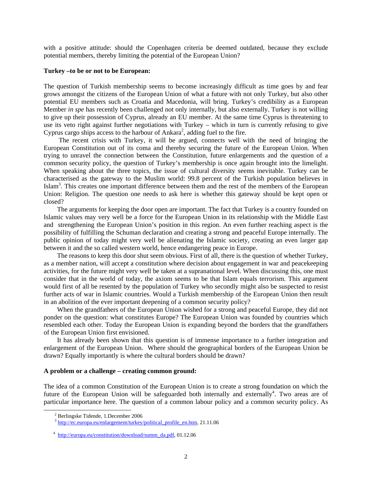with a positive attitude: should the Copenhagen criteria be deemed outdated, because they exclude potential members, thereby limiting the potential of the European Union?

#### **Turkey –to be or not to be European:**

The question of Turkish membership seems to become increasingly difficult as time goes by and fear grows amongst the citizens of the European Union of what a future with not only Turkey, but also other potential EU members such as Croatia and Macedonia, will bring. Turkey's credibility as a European Member *in spe* has recently been challenged not only internally, but also externally. Turkey is not willing to give up their possession of Cyprus, already an EU member. At the same time Cyprus is threatening to use its veto right against further negotiations with Turkey – which in turn is currently refusing to give Cyprus cargo ships access to the harbour of Ankara<sup>2</sup>, adding fuel to the fire.

 The recent crisis with Turkey, it will be argued, connects well with the need of bringing the European Constitution out of its coma and thereby securing the future of the European Union. When trying to unravel the connection between the Constitution, future enlargements and the question of a common security policy, the question of Turkey's membership is once again brought into the limelight. When speaking about the three topics, the issue of cultural diversity seems inevitable. Turkey can be characterised as the gateway to the Muslim world: 99.8 percent of the Turkish population believes in Islam<sup>3</sup>. This creates one important difference between them and the rest of the members of the European Union: Religion. The question one needs to ask here is whether this gateway should be kept open or closed?

 The arguments for keeping the door open are important. The fact that Turkey is a country founded on Islamic values may very well be a force for the European Union in its relationship with the Middle East and strengthening the European Union's position in this region. An even further reaching aspect is the possibility of fulfilling the Schuman declaration and creating a strong and peaceful Europe internally. The public opinion of today might very well be alienating the Islamic society, creating an even larger gap between it and the so called western world, hence endangering peace in Europe.

 The reasons to keep this door shut seem obvious. First of all, there is the question of whether Turkey, as a member nation, will accept a constitution where decision about engagement in war and peacekeeping activities, for the future might very well be taken at a supranational level. When discussing this, one must consider that in the world of today, the axiom seems to be that Islam equals terrorism. This argument would first of all be resented by the population of Turkey who secondly might also be suspected to resist further acts of war in Islamic countries. Would a Turkish membership of the European Union then result in an abolition of the ever important deepening of a common security policy?

 When the grandfathers of the European Union wished for a strong and peaceful Europe, they did not ponder on the question: what constitutes Europe? The European Union was founded by countries which resembled each other. Today the European Union is expanding beyond the borders that the grandfathers of the European Union first envisioned.

 It has already been shown that this question is of immense importance to a further integration and enlargement of the European Union. Where should the geographical borders of the European Union be drawn? Equally importantly is where the cultural borders should be drawn?

#### **A problem or a challenge – creating common ground:**

The idea of a common Constitution of the European Union is to create a strong foundation on which the future of the European Union will be safeguarded both internally and externally<sup>4</sup>. Two areas are of particular importance here. The question of a common labour policy and a common security policy. As

<sup>2</sup> Berlingske Tidende, 1.December 2006

<sup>&</sup>lt;sup>3</sup> http://ec<u>.europa.eu/enlargement/turkey/political\_profile\_en.htm</u>, 21.11.06

<sup>4</sup> http://europa.eu/constitution/download/summ\_da.pdf, 01.12.06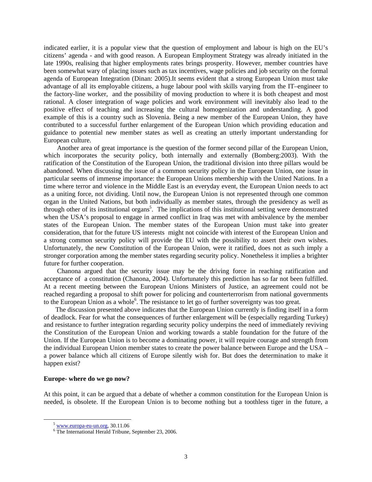indicated earlier, it is a popular view that the question of employment and labour is high on the EU's citizens' agenda - and with good reason. A European Employment Strategy was already initiated in the late 1990s, realising that higher employments rates brings prosperity. However, member countries have been somewhat wary of placing issues such as tax incentives, wage policies and job security on the formal agenda of European Integration (Dinan: 2005).It seems evident that a strong European Union must take advantage of all its employable citizens, a huge labour pool with skills varying from the IT–engineer to the factory-line worker, and the possibility of moving production to where it is both cheapest and most rational. A closer integration of wage policies and work environment will inevitably also lead to the positive effect of teaching and increasing the cultural homogenization and understanding. A good example of this is a country such as Slovenia. Being a new member of the European Union, they have contributed to a successful further enlargement of the European Union which providing education and guidance to potential new member states as well as creating an utterly important understanding for European culture.

 Another area of great importance is the question of the former second pillar of the European Union, which incorporates the security policy, both internally and externally (Bomberg: 2003). With the ratification of the Constitution of the European Union, the traditional division into three pillars would be abandoned. When discussing the issue of a common security policy in the European Union, one issue in particular seems of immense importance: the European Unions membership with the United Nations. In a time where terror and violence in the Middle East is an everyday event, the European Union needs to act as a uniting force, not dividing. Until now, the European Union is not represented through one common organ in the United Nations, but both individually as member states, through the presidency as well as through other of its institutional organs<sup>5</sup>. The implications of this institutional setting were demonstrated when the USA's proposal to engage in armed conflict in Iraq was met with ambivalence by the member states of the European Union. The member states of the European Union must take into greater consideration, that for the future US interests might not coincide with interest of the European Union and a strong common security policy will provide the EU with the possibility to assert their own wishes. Unfortunately, the new Constitution of the European Union, were it ratified, does not as such imply a stronger corporation among the member states regarding security policy. Nonetheless it implies a brighter future for further cooperation.

 Chanona argued that the security issue may be the driving force in reaching ratification and acceptance of a constitution (Chanona, 2004). Unfortunately this prediction has so far not been fulfilled. At a recent meeting between the European Unions Ministers of Justice, an agreement could not be reached regarding a proposal to shift power for policing and counterterrorism from national governments to the European Union as a whole<sup>6</sup>. The resistance to let go of further sovereignty was too great.

 The discussion presented above indicates that the European Union currently is finding itself in a form of deadlock. Fear for what the consequences of further enlargement will be (especially regarding Turkey) and resistance to further integration regarding security policy underpins the need of immediately reviving the Constitution of the European Union and working towards a stable foundation for the future of the Union. If the European Union is to become a dominating power, it will require courage and strength from the individual European Union member states to create the power balance between Europe and the USA – a power balance which all citizens of Europe silently wish for. But does the determination to make it happen exist?

#### **Europe- where do we go now?**

At this point, it can be argued that a debate of whether a common constitution for the European Union is needed, is obsolete. If the European Union is to become nothing but a toothless tiger in the future, a

<sup>5</sup> www.europa-eu-un.org, 30.11.06

<sup>6</sup> The International Herald Tribune, September 23, 2006.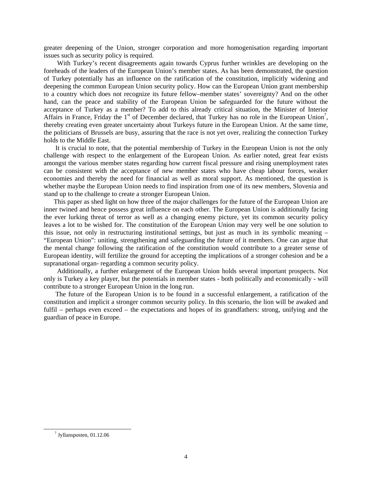greater deepening of the Union, stronger corporation and more homogenisation regarding important issues such as security policy is required.

 With Turkey's recent disagreements again towards Cyprus further wrinkles are developing on the foreheads of the leaders of the European Union's member states. As has been demonstrated, the question of Turkey potentially has an influence on the ratification of the constitution, implicitly widening and deepening the common European Union security policy. How can the European Union grant membership to a country which does not recognize its future fellow–member states' sovereignty? And on the other hand, can the peace and stability of the European Union be safeguarded for the future without the acceptance of Turkey as a member? To add to this already critical situation, the Minister of Interior Affairs in France, Friday the  $1<sup>st</sup>$  of December declared, that Turkey has no role in the European Union<sup>7</sup>, thereby creating even greater uncertainty about Turkeys future in the European Union. At the same time, the politicians of Brussels are busy, assuring that the race is not yet over, realizing the connection Turkey holds to the Middle East.

 It is crucial to note, that the potential membership of Turkey in the European Union is not the only challenge with respect to the enlargement of the European Union. As earlier noted, great fear exists amongst the various member states regarding how current fiscal pressure and rising unemployment rates can be consistent with the acceptance of new member states who have cheap labour forces, weaker economies and thereby the need for financial as well as moral support. As mentioned, the question is whether maybe the European Union needs to find inspiration from one of its new members, Slovenia and stand up to the challenge to create a stronger European Union.

 This paper as shed light on how three of the major challenges for the future of the European Union are inner twined and hence possess great influence on each other. The European Union is additionally facing the ever lurking threat of terror as well as a changing enemy picture, yet its common security policy leaves a lot to be wished for. The constitution of the European Union may very well be one solution to this issue, not only in restructuring institutional settings, but just as much in its symbolic meaning – "European Union": uniting, strengthening and safeguarding the future of it members. One can argue that the mental change following the ratification of the constitution would contribute to a greater sense of European identity, will fertilize the ground for accepting the implications of a stronger cohesion and be a supranational organ- regarding a common security policy.

 Additionally, a further enlargement of the European Union holds several important prospects. Not only is Turkey a key player, but the potentials in member states - both politically and economically - will contribute to a stronger European Union in the long run.

 The future of the European Union is to be found in a successful enlargement, a ratification of the constitution and implicit a stronger common security policy. In this scenario, the lion will be awaked and fulfil – perhaps even exceed – the expectations and hopes of its grandfathers: strong, unifying and the guardian of peace in Europe.

<sup>7</sup> Jyllansposten, 01.12.06